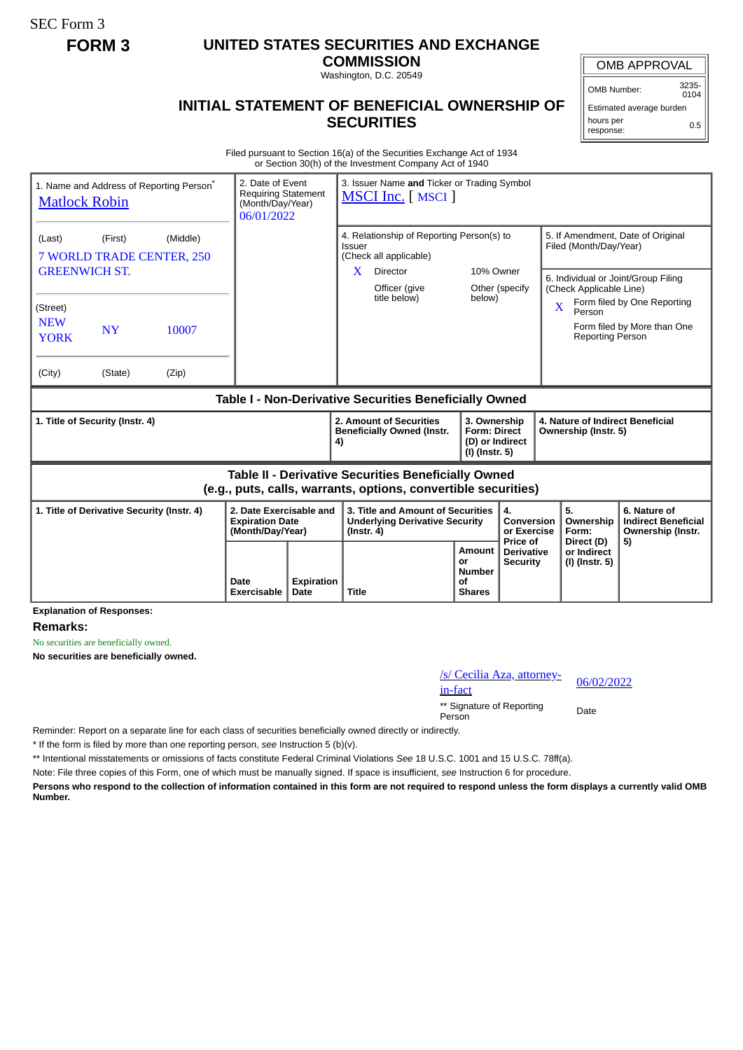SEC Form 3

## **FORM 3 UNITED STATES SECURITIES AND EXCHANGE**

**COMMISSION** Washington, D.C. 20549

## OMB APPROVAL

OMB Number: 3235-  $0104$ 

0.5

## Estimated average burden

hours per response:

## **INITIAL STATEMENT OF BENEFICIAL OWNERSHIP OF SECURITIES**

Filed pursuant to Section 16(a) of the Securities Exchange Act of 1934 or Section 30(h) of the Investment Company Act of 1940

| 1. Name and Address of Reporting Person <sup>®</sup><br><b>Matlock Robin</b> |                                            |          | 2. Date of Event<br><b>Requiring Statement</b><br>(Month/Day/Year)<br>06/01/2022 |  | 3. Issuer Name and Ticker or Trading Symbol<br><b>MSCI Inc.</b> [ MSCI ]                                                                 |                                                                                                              |                                                          |                                                             |                                                                       |
|------------------------------------------------------------------------------|--------------------------------------------|----------|----------------------------------------------------------------------------------|--|------------------------------------------------------------------------------------------------------------------------------------------|--------------------------------------------------------------------------------------------------------------|----------------------------------------------------------|-------------------------------------------------------------|-----------------------------------------------------------------------|
| (Last)                                                                       | (First)<br>7 WORLD TRADE CENTER, 250       | (Middle) |                                                                                  |  | 4. Relationship of Reporting Person(s) to<br><b>Issuer</b><br>(Check all applicable)                                                     |                                                                                                              |                                                          | 5. If Amendment, Date of Original<br>Filed (Month/Day/Year) |                                                                       |
| <b>GREENWICH ST.</b><br>(Street)                                             |                                            |          | X<br><b>Director</b><br>Officer (give<br>title below)                            |  | 10% Owner<br>Other (specify<br>below)                                                                                                    | 6. Individual or Joint/Group Filing<br>(Check Applicable Line)<br>Form filed by One Reporting<br>X<br>Person |                                                          |                                                             |                                                                       |
| <b>NEW</b><br><b>YORK</b>                                                    | <b>NY</b>                                  | 10007    |                                                                                  |  |                                                                                                                                          |                                                                                                              |                                                          | <b>Reporting Person</b>                                     | Form filed by More than One                                           |
| (City)                                                                       | (State)                                    | (Zip)    |                                                                                  |  |                                                                                                                                          |                                                                                                              |                                                          |                                                             |                                                                       |
| Table I - Non-Derivative Securities Beneficially Owned                       |                                            |          |                                                                                  |  |                                                                                                                                          |                                                                                                              |                                                          |                                                             |                                                                       |
| 1. Title of Security (Instr. 4)                                              |                                            |          |                                                                                  |  | 2. Amount of Securities<br>3. Ownership<br><b>Beneficially Owned (Instr.</b><br><b>Form: Direct</b><br>(D) or Indirect<br>(I) (Instr. 5) |                                                                                                              | 4. Nature of Indirect Beneficial<br>Ownership (Instr. 5) |                                                             |                                                                       |
|                                                                              |                                            |          |                                                                                  |  | 4)                                                                                                                                       |                                                                                                              |                                                          |                                                             |                                                                       |
|                                                                              |                                            |          |                                                                                  |  | <b>Table II - Derivative Securities Beneficially Owned</b><br>(e.g., puts, calls, warrants, options, convertible securities)             |                                                                                                              |                                                          |                                                             |                                                                       |
|                                                                              | 1. Title of Derivative Security (Instr. 4) |          | 2. Date Exercisable and<br><b>Expiration Date</b><br>(Month/Day/Year)            |  | 3. Title and Amount of Securities<br><b>Underlying Derivative Security</b><br>$($ lnstr. 4 $)$                                           |                                                                                                              | 4.<br>Conversion<br>or Exercise<br>Price of              | 5.<br>Ownership<br>Form:<br>Direct (D)                      | 6. Nature of<br><b>Indirect Beneficial</b><br>Ownership (Instr.<br>5) |

**Explanation of Responses:**

**Remarks:**

No securities are beneficially owned.

**No securities are beneficially owned.**

| /s/ Cecilia Aza, attorney-<br>in-fact | 06/02/2022 |
|---------------------------------------|------------|
| ** Signature of Reporting<br>Person   | Date       |

Reminder: Report on a separate line for each class of securities beneficially owned directly or indirectly.

\* If the form is filed by more than one reporting person, *see* Instruction 5 (b)(v).

\*\* Intentional misstatements or omissions of facts constitute Federal Criminal Violations *See* 18 U.S.C. 1001 and 15 U.S.C. 78ff(a).

Note: File three copies of this Form, one of which must be manually signed. If space is insufficient, *see* Instruction 6 for procedure.

**Persons who respond to the collection of information contained in this form are not required to respond unless the form displays a currently valid OMB Number.**